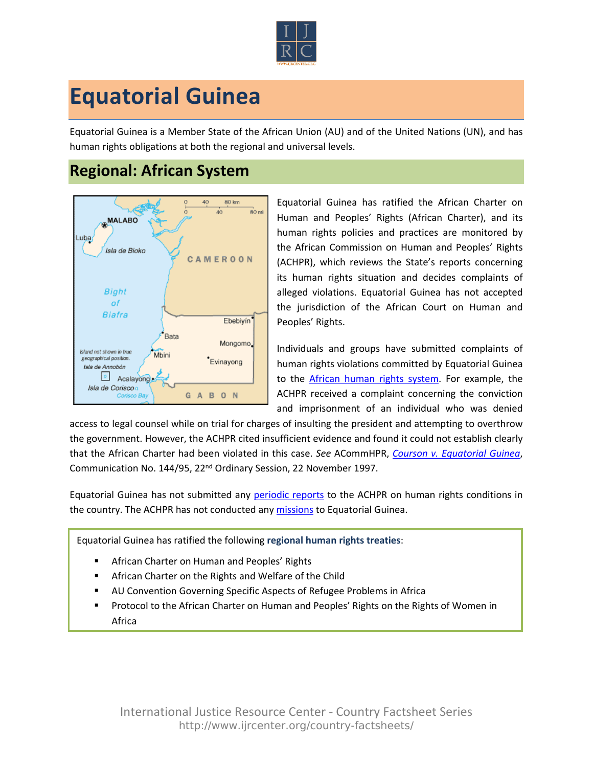

## **Equatorial Guinea**

Equatorial Guinea is a Member State of the African Union (AU) and of the United Nations (UN), and has human rights obligations at both the regional and universal levels.

## **Regional: African System**



Equatorial Guinea has ratified the African Charter on Human and Peoples' Rights (African Charter), and its human rights policies and practices are monitored by the African Commission on Human and Peoples' Rights (ACHPR), which reviews the State's reports concerning its human rights situation and decides complaints of alleged violations. Equatorial Guinea has not accepted the jurisdiction of the African Court on Human and Peoples' Rights.

Individuals and groups have submitted complaints of human rights violations committed by Equatorial Guinea to the [African human rights system](http://www.ijrcenter.org/regional/african/). For example, the ACHPR received a complaint concerning the conviction and imprisonment of an individual who was denied

access to legal counsel while on trial for charges of insulting the president and attempting to overthrow the government. However, the ACHPR cited insufficient evidence and found it could not establish clearly that the African Charter had been violated in this case. *See* ACommHPR, *[Courson v. Equatorial Guinea](http://www.achpr.org/files/sessions/22nd/comunications/144.95/achpr22_144_95_eng.pdf)*, Communication No. 144/95, 22nd Ordinary Session, 22 November 1997.

Equatorial Guinea has not submitted any [periodic reports](http://www.achpr.org/states/equatorial-guinea/) to the ACHPR on human rights conditions in the country. The ACHPR has not conducted any [missions](http://www.achpr.org/states/equatorial-guinea/) to Equatorial Guinea.

Equatorial Guinea has ratified the following **regional human rights treaties**:

- African Charter on Human and Peoples' Rights
- African Charter on the Rights and Welfare of the Child
- AU Convention Governing Specific Aspects of Refugee Problems in Africa
- Protocol to the African Charter on Human and Peoples' Rights on the Rights of Women in Africa